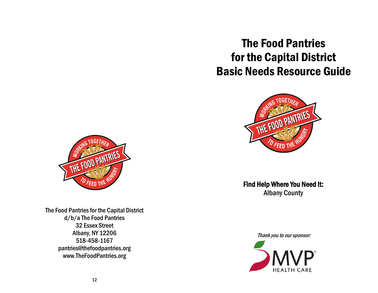# The Food Pantries for the Capital District Basic Needs Resource Guide



Find Help Where You Need It: Albany County

Thank you to our sponsor:





The Food Pantries for the Capital District d/b/a The Food Pantries 32 Essex Street Albany, NY 12206 518-458-1167 pantries@thefoodpantries.org www.TheFoodPantries.org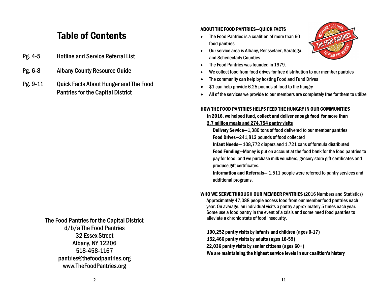# Table of Contents

- Pg. 4-5 Hotline and Service Referral List
- Pg. 6-8 Albany County Resource Guide
- Pg. 9-11 Quick Facts About Hunger and The Food Pantries for the Capital District

### The Food Pantries for the Capital District d/b/a The Food Pantries 32 Essex Street Albany, NY 12206 518-458-1167 pantries@thefoodpantries.org www.TheFoodPantries.org

#### ABOUT THE FOOD PANTRIES—QUICK FACTS

 The Food Pantries is a coalition of more than 60 food pantries



- Our service area is Albany, Rensselaer, Saratoga, and Schenectady Counties
- The Food Pantries was founded in 1979.
- We collect food from food drives for free distribution to our member pantries
- The community can help by hosting Food and Fund Drives
- \$1 can help provide 6.25 pounds of food to the hungry
- All of the services we provide to our members are completely free for them to utilize

#### HOW THE FOOD PANTRIES HELPS FEED THE HUNGRY IN OUR COMMUNITIES

In 2016, we helped fund, collect and deliver enough food for more than 2.7 million meals and 274,754 pantry visits

Delivery Service—1,380 tons of food delivered to our member pantries Food Drives—241,812 pounds of food collected

Infant Needs— 108,772 diapers and 1,721 cans of formula distributed

 Food Funding—Money is put on account at the food bank for the food pantries to pay for food, and we purchase milk vouchers, grocery store gift certificates and produce gift certificates.

 Information and Referrals— 1,511 people were referred to pantry services and additional programs.

#### WHO WE SERVE THROUGH OUR MEMBER PANTRIES (2016 Numbers and Statistics)

Approximately 47,088 people access food from our member food pantries each year. On average, an individual visits a pantry approximately 5 times each year. Some use a food pantry in the event of a crisis and some need food pantries to alleviate a chronic state of food insecurity.

100,252 pantry visits by infants and children (ages 0-17) 152,466 pantry visits by adults (ages 18-59) 22,036 pantry visits by senior citizens (ages 60+) We are maintaining the highest service levels in our coalition's history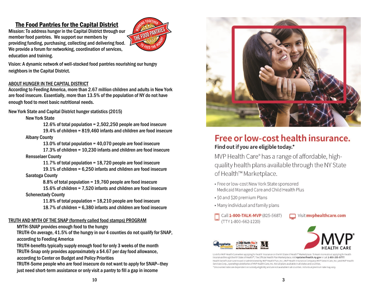#### The Food Pantries for the Capital District

Mission: To address hunger in the Capital District through our member food pantries. We support our members by providing funding, purchasing, collecting and delivering food. We provide a forum for networking, coordination of services, education and training.



Vision: A dynamic network of well -stocked food pantries nourishing our hungry neighbors in the Capital District.

#### ABOUT HUNGER IN THE CAPITAL DISTRICT

According to Feeding America, more than 2.67 million children and adults in New York are food insecure. Essentially, more than 13.5% of the population of NY do not have enough food to meet basic nutritional needs.

New York State and Capital District hunger statistics (2015)

New York State

12.6% of total population = 2,502,250 people are food insecure 19.4% of children = 819,460 infants and children are food insecure Albany County

13.0% of total population = 40,070 people are food insecure 17.3% of children = 10,230 infants and children are food insecure Rensselaer County

11.7% of total population = 18,720 people are food insecure 19.1% of children = 6,250 infants and children are food insecure Saratoga County

8.8% of total population = 19,760 people are food insecure 15.6% of children = 7,520 infants and children are food insecure

Schenectady County

11.8% of total population = 18,210 people are food insecure 18.7% of children = 6,380 infants and children are food insecure

#### TRUTH AND MYTH OF THE SNAP (formerly called food stamps) PROGRAM

MYTH -SNAP provides enough food to the hungry

TRUTH -On average, 41.5% of the hungry in our 4 counties do not qualify for SNAP, according to Feeding America

TRUTH -benefits typically supply enough food for only 3 weeks of the month TRUTH -Snap only provides approximately a \$4.67 per day food allowance, according to Center on Budget and Policy Priorities

TRUTH -Some people who are food insecure do not want to apply for SNAP—they just need short -term assistance or only visit a pantry to fill a gap in income



## Free or low-cost health insurance. Find out if you are eligible today.\*

MVP Health Care® has a range of affordable, highquality health plans available through the NY State of Health™ Marketplace.

- Free or low-cost New York State sponsored Medicaid Managed Care and Child Health Plus
- \$0 and \$20 premium Plans
- . Many individual and family plans



Visit myphealthcare.com





Look for MVP Health Care when applying for health insurance on the NY State of Health™ Marketplace. To learn more about applying for health insurance through the NY State of Health™, The Official Health Plan Marketplace, visit nystateofhealth.ny.gov or call 1-855-355-5777. Health benefit plans are issued or administered by MVP Health Plan, Inc.; MVP Health Insurance Company; MVP Select Care, Inc.; and MVP Health Services Corp., operating subsidiaries of MVP Health Care, Inc. Not all plans available in all states and counties. \*Discounted rates are dependent on subsidy eligibility and are not available in all counties. Individual premium rate may vary.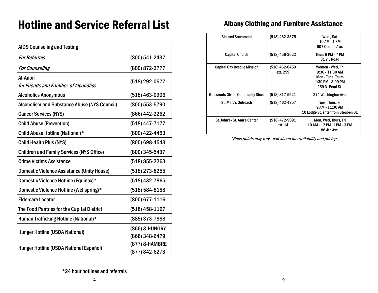# Hotline and Service Referral List

| <b>AIDS Counseling and Testing</b>                  |                                  |
|-----------------------------------------------------|----------------------------------|
| <b>For Referrals</b>                                | (800) 541-2437                   |
| <b>For Counseling</b>                               | (800) 872-2777                   |
| Al-Anon<br>for Friends and Families of Alcoholics   | (518) 292-0577                   |
| <b>Alcoholics Anonymous</b>                         | (518) 463-0906                   |
| <b>Alcoholism and Substance Abuse (NYS Council)</b> | (800) 553-5790                   |
| <b>Cancer Services (NYS)</b>                        | (866) 442-2262                   |
| <b>Child Abuse (Prevention)</b>                     | (518) 447-7177                   |
| Child Abuse Hotline (National)*                     | (800) 422-4453                   |
| <b>Child Health Plus (NYS)</b>                      | (800) 698-4543                   |
| <b>Children and Family Services (NYS Office)</b>    | (800) 345-5437                   |
| <b>Crime Victims Assistance</b>                     | (518) 855-2263                   |
| <b>Domestic Violence Assistance (Unity House)</b>   | (518) 273-8255                   |
| Domestic Violence Hotline (Equinox)*                | (518) 432-7865                   |
| Domestic Violence Hotline (Wellspring)*             | (518) 584-8188                   |
| <b>Eldercare Locator</b>                            | (800) 677-1116                   |
| The Food Pantries for the Capital District          | (518) 458-1167                   |
| Human Trafficking Hotline (National)*               | (888) 373-7888                   |
| <b>Hunger Hotline (USDA National)</b>               | (866) 3-HUNGRY<br>(866) 348-6479 |
| Hunger Hotline (USDA National Español)              | (877) 8-HAMBRE<br>(877) 842-6273 |

## Albany Clothing and Furniture Assistance

| <b>Blessed Sacrament</b>                 | (518) 482-3375             | Wed, Sat<br>10 AM - 1 PM<br>607 Central Ave.                                                        |
|------------------------------------------|----------------------------|-----------------------------------------------------------------------------------------------------|
| <b>Capital Church</b>                    | (518) 456-3022             | Thurs 6 PM - 7 PM<br>31 Vly Road                                                                    |
| <b>Capital City Rescue Mission</b>       | (518) 462-0459<br>ext. 259 | Women - Wed, Fri<br>$9:30 - 11:30$ AM<br>Men - Tues, Thurs<br>1:30 PM - 3:00 PM<br>259 N. Pearl St. |
| <b>Grassroots Givers Community Store</b> | (518) 817-5921             | 274 Washington Ave.                                                                                 |
| St. Mary's Outreach                      | (518) 462-4357             | Tues, Thurs, Fri<br>9 AM - 11:30 AM<br>10 Lodge St, enter from Steuben St.                          |
| St. John's/St. Ann's Center              | (518) 472-9091<br>ext. 14  | Mon, Wed, Thurs, Fri<br>10 AM - 12 PM, 1 PM - 3 PM<br>88 4th Ave.                                   |

\*Price points may vary - call ahead for availability and pricing

\*24 hour hotlines and referrals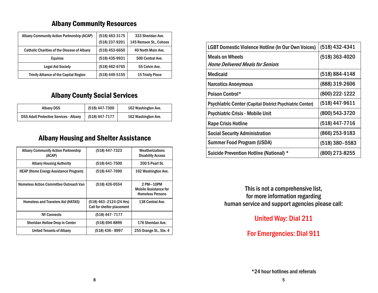## Albany Community Resources

| Albany Community Action Partnership (ACAP)         | (518) 463-3175 | 333 Sheridan Ave.       |
|----------------------------------------------------|----------------|-------------------------|
|                                                    | (518) 237-9201 | 145 Remsen St., Cohoes  |
| <b>Catholic Charities of the Diocese of Albany</b> | (518) 453-6650 | 40 North Main Ave.      |
| <b>Equinox</b>                                     | (518) 435-9931 | 500 Central Ave.        |
| <b>Legal Aid Society</b>                           | (518) 462-6765 | 55 Colvin Ave.          |
| <b>Trinity Alliance of the Capital Region</b>      | (518) 449-5155 | <b>15 Trinity Place</b> |

## Albany County Social Services

| Albany DSS                                    | (518) 447-7300 | 162 Washington Ave. |
|-----------------------------------------------|----------------|---------------------|
| <b>DSS Adult Protective Services - Albany</b> | (518) 447-7177 | 162 Washington Ave. |

## Albany Housing and Shelter Assistance

| <b>Albany Community Action Partnership</b><br>(ACAP) | (518) 447-7323                                        | Weatherizations<br><b>Disability Access</b>                          |
|------------------------------------------------------|-------------------------------------------------------|----------------------------------------------------------------------|
| <b>Albany Housing Authority</b>                      | (518) 641-7500                                        | 200 S Pearl St.                                                      |
| <b>HEAP (Home Energy Assistance Program)</b>         | (518) 447-7690                                        | 162 Washington Ave.                                                  |
| <b>Homeless Action Committee Outreach Van</b>        | (518) 426-0554                                        | 2 PM-10PM<br><b>Mobile Assistance for</b><br><b>Homeless Persons</b> |
| <b>Homeless and Travelers Aid (HATAS)</b>            | (518) 463-2124 (24 Hrs)<br>Call for shelter placement | 138 Central Ave.                                                     |
| <b>NY Connects</b>                                   | (518) 447-7177                                        |                                                                      |
| <b>Sheridan Hollow Drop in Center</b>                | (518) 694-8899                                        | 176 Sheridan Ave.                                                    |
| <b>United Tenants of Albany</b>                      | (518) 436-8997                                        | 255 Orange St., Ste. 4                                               |

| <b>LGBT Domestic Violence Hotline (In Our Own Voices)</b>       | (518) 432-4341   |
|-----------------------------------------------------------------|------------------|
| <b>Meals on Wheels</b>                                          | $(518)$ 363-4020 |
| <i><b>Home Delivered Meals for Seniors</b></i>                  |                  |
| <b>Medicaid</b>                                                 | (518) 884-4148   |
| <b>Narcotics Anonymous</b>                                      | (888) 319-2606   |
| Poison Control*                                                 | (800) 222-1222   |
| <b>Psychiatric Center (Capital District Psychiatric Center)</b> | (518) 447-9611   |
| <b>Psychiatric Crisis - Mobile Unit</b>                         | (800) 543-3720   |
| <b>Rape Crisis Hotline</b>                                      | (518) 447-7716   |
| <b>Social Security Administration</b>                           | $(866)$ 253-9183 |
| <b>Summer Food Program (USDA)</b>                               | $(518)$ 380-5583 |
| <b>Suicide Prevention Hotline (National) *</b>                  | (800) 273-8255   |

This is not a comprehensive list, for more information regarding human service and support agencies please call:

United Way: Dial 211

## For Emergencies: Dial 911